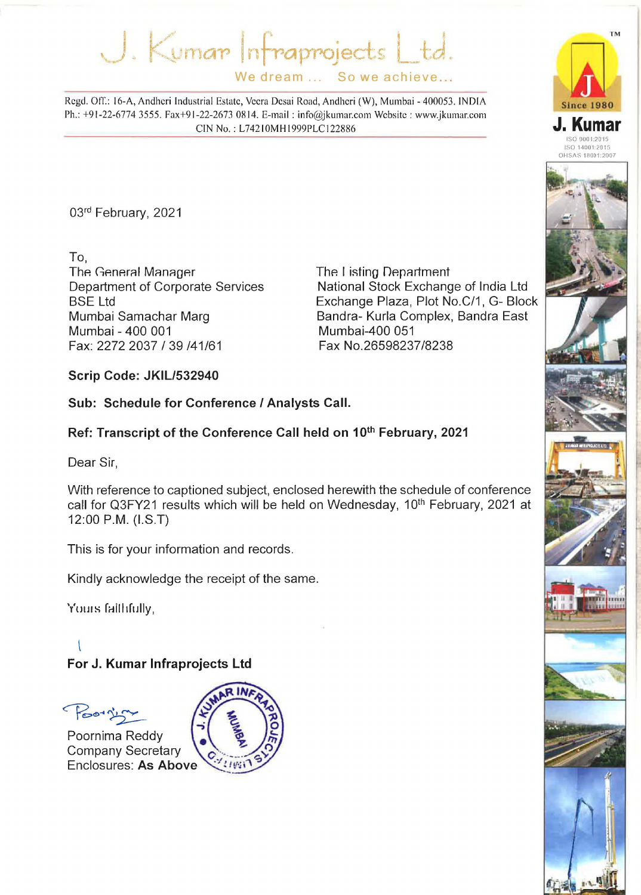$J.$  Kuman Infraprojects L<sup>.</sup> We dream ... So we achieve...

Regd. OtT.: 16-A, Andheri Industrial Estate, Veera Desai Road, Andheri (W), Mumbai- 400053. INDIA Ph.: +91-22-6774 3555. Fax+91-22-2673 0814. E-mail : info@jkumar.com Website : www.jkumar.com CIN No.: L74210MHI999PLCI22886

03rd February, 2021

To, The General Manager Department of Corporate Services BSE Ltd Mumbai Samachar Marg Mumbai- 400 001 Fax: 2272 2037 I 39 /41/61

The I isting Department National Stock Exchange of India Ltd Exchange Plaza, Plot No.C/1, G- Block Sandra- Kurla Complex, Sandra East Mumbai-400 051 Fax No.26598237/8238

**Scrip Code: JKIL/532940** 

**Sub: Schedule for Conference I Analysts Call.** 

**Ref: Transcript of the Conference Call held on 1oth February, 2021** 

Dear Sir,

With reference to captioned subject, enclosed herewith the schedule of conference call for Q3FY21 results which will be held on Wednesday, 10<sup>th</sup> February, 2021 at 12:00 P.M. (I.S.T)

This is for your information and records.

Kindly acknowledge the receipt of the same.

Yours faithfully,

### **For J. Kumar lnfraprojects Ltd**

Poorzin

Poornima Reddy **Company Secretary Enclosures: As Above** 





TM